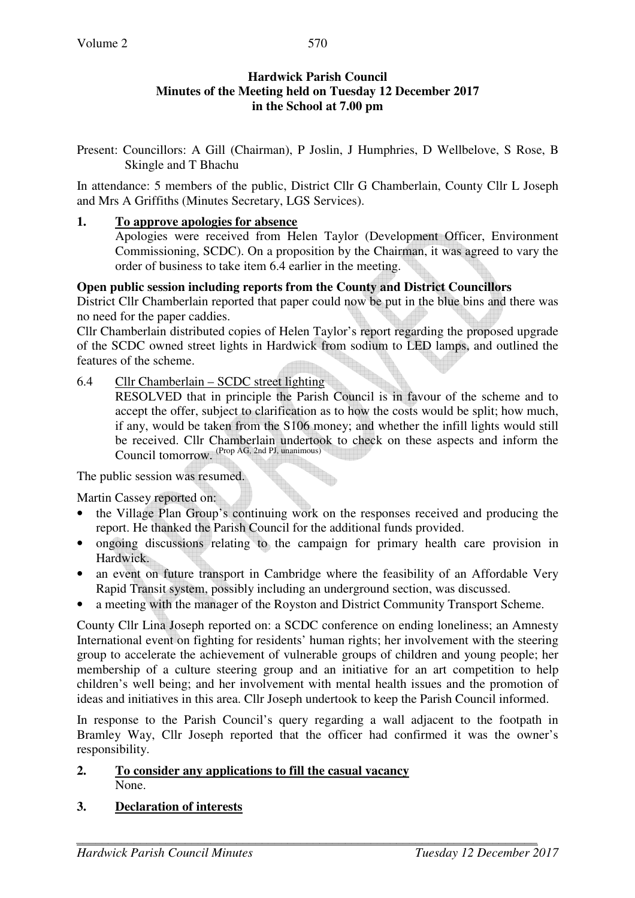## **Hardwick Parish Council Minutes of the Meeting held on Tuesday 12 December 2017 in the School at 7.00 pm**

Present: Councillors: A Gill (Chairman), P Joslin, J Humphries, D Wellbelove, S Rose, B Skingle and T Bhachu

In attendance: 5 members of the public, District Cllr G Chamberlain, County Cllr L Joseph and Mrs A Griffiths (Minutes Secretary, LGS Services).

#### **1. To approve apologies for absence**

Apologies were received from Helen Taylor (Development Officer, Environment Commissioning, SCDC). On a proposition by the Chairman, it was agreed to vary the order of business to take item 6.4 earlier in the meeting.

#### **Open public session including reports from the County and District Councillors**

District Cllr Chamberlain reported that paper could now be put in the blue bins and there was no need for the paper caddies.

Cllr Chamberlain distributed copies of Helen Taylor's report regarding the proposed upgrade of the SCDC owned street lights in Hardwick from sodium to LED lamps, and outlined the features of the scheme.

#### 6.4 Cllr Chamberlain – SCDC street lighting

RESOLVED that in principle the Parish Council is in favour of the scheme and to accept the offer, subject to clarification as to how the costs would be split; how much, if any, would be taken from the S106 money; and whether the infill lights would still be received. Cllr Chamberlain undertook to check on these aspects and inform the Council tomorrow. (Prop AG, 2nd PJ, unanimous)

The public session was resumed.

Martin Cassey reported on:

- the Village Plan Group's continuing work on the responses received and producing the report. He thanked the Parish Council for the additional funds provided.
- ongoing discussions relating to the campaign for primary health care provision in Hardwick.
- an event on future transport in Cambridge where the feasibility of an Affordable Very Rapid Transit system, possibly including an underground section, was discussed.
- a meeting with the manager of the Royston and District Community Transport Scheme.

County Cllr Lina Joseph reported on: a SCDC conference on ending loneliness; an Amnesty International event on fighting for residents' human rights; her involvement with the steering group to accelerate the achievement of vulnerable groups of children and young people; her membership of a culture steering group and an initiative for an art competition to help children's well being; and her involvement with mental health issues and the promotion of ideas and initiatives in this area. Cllr Joseph undertook to keep the Parish Council informed.

In response to the Parish Council's query regarding a wall adjacent to the footpath in Bramley Way, Cllr Joseph reported that the officer had confirmed it was the owner's responsibility.

#### **2. To consider any applications to fill the casual vacancy** None.

#### **3. Declaration of interests**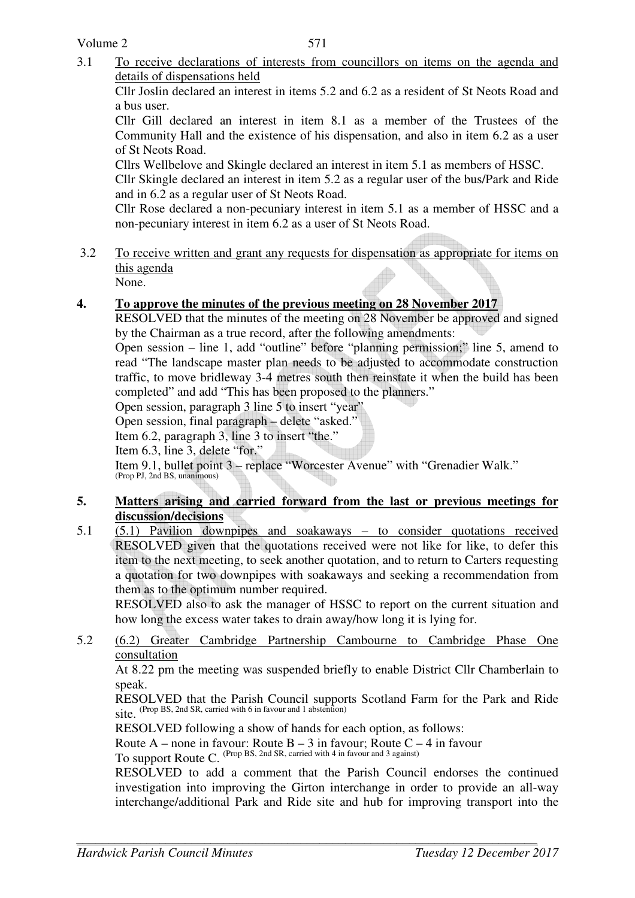3.1 To receive declarations of interests from councillors on items on the agenda and details of dispensations held

Cllr Joslin declared an interest in items 5.2 and 6.2 as a resident of St Neots Road and a bus user.

Cllr Gill declared an interest in item 8.1 as a member of the Trustees of the Community Hall and the existence of his dispensation, and also in item 6.2 as a user of St Neots Road.

Cllrs Wellbelove and Skingle declared an interest in item 5.1 as members of HSSC.

Cllr Skingle declared an interest in item 5.2 as a regular user of the bus/Park and Ride and in 6.2 as a regular user of St Neots Road.

Cllr Rose declared a non-pecuniary interest in item 5.1 as a member of HSSC and a non-pecuniary interest in item 6.2 as a user of St Neots Road.

3.2 To receive written and grant any requests for dispensation as appropriate for items on this agenda

None.

# **4. To approve the minutes of the previous meeting on 28 November 2017**

RESOLVED that the minutes of the meeting on 28 November be approved and signed by the Chairman as a true record, after the following amendments:

Open session – line 1, add "outline" before "planning permission;" line 5, amend to read "The landscape master plan needs to be adjusted to accommodate construction traffic, to move bridleway 3-4 metres south then reinstate it when the build has been completed" and add "This has been proposed to the planners."

Open session, paragraph 3 line 5 to insert "year"

Open session, final paragraph – delete "asked."

Item 6.2, paragraph 3, line 3 to insert "the."

Item 6.3, line 3, delete "for."

Item 9.1, bullet point 3 – replace "Worcester Avenue" with "Grenadier Walk." (Prop PJ, 2nd BS, unanimous)

## **5. Matters arising and carried forward from the last or previous meetings for discussion/decisions**

5.1 (5.1) Pavilion downpipes and soakaways – to consider quotations received RESOLVED given that the quotations received were not like for like, to defer this item to the next meeting, to seek another quotation, and to return to Carters requesting a quotation for two downpipes with soakaways and seeking a recommendation from them as to the optimum number required.

RESOLVED also to ask the manager of HSSC to report on the current situation and how long the excess water takes to drain away/how long it is lying for.

5.2 (6.2) Greater Cambridge Partnership Cambourne to Cambridge Phase One consultation

At 8.22 pm the meeting was suspended briefly to enable District Cllr Chamberlain to speak.

RESOLVED that the Parish Council supports Scotland Farm for the Park and Ride  $\frac{1}{100}$   $\frac{1}{100}$   $\frac{1}{100}$   $\frac{1}{100}$   $\frac{1}{100}$   $\frac{1}{100}$   $\frac{1}{100}$   $\frac{1}{100}$   $\frac{1}{100}$   $\frac{1}{100}$   $\frac{1}{100}$   $\frac{1}{100}$   $\frac{1}{100}$   $\frac{1}{100}$   $\frac{1}{100}$   $\frac{1}{100}$   $\frac{1}{100}$   $\frac{1}{100}$   $\frac{1$ 

RESOLVED following a show of hands for each option, as follows:

Route A – none in favour: Route  $B - 3$  in favour; Route  $C - 4$  in favour

To support Route C. (Prop BS, 2nd SR, carried with 4 in favour and 3 against)

RESOLVED to add a comment that the Parish Council endorses the continued investigation into improving the Girton interchange in order to provide an all-way interchange/additional Park and Ride site and hub for improving transport into the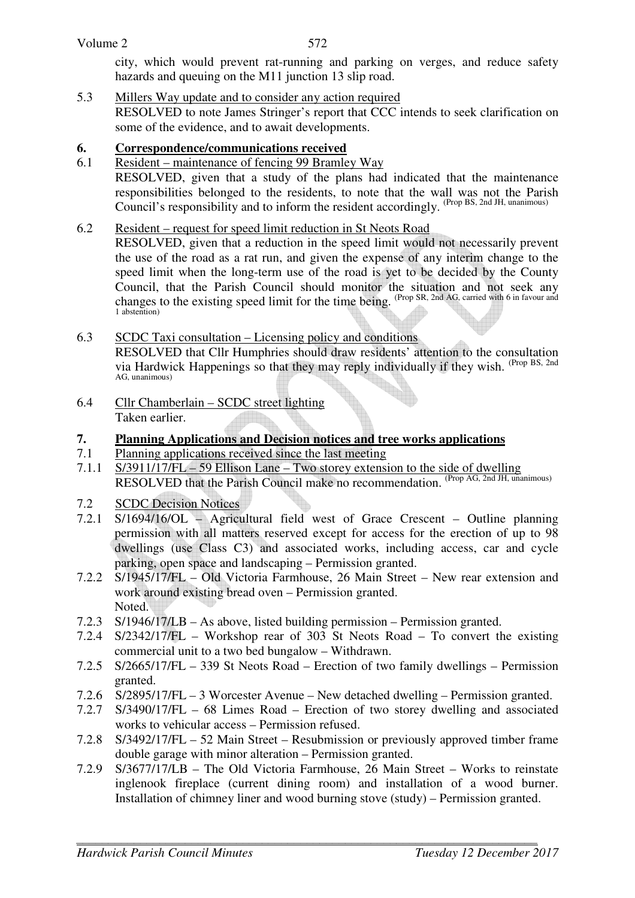city, which would prevent rat-running and parking on verges, and reduce safety hazards and queuing on the M11 junction 13 slip road.

5.3 Millers Way update and to consider any action required RESOLVED to note James Stringer's report that CCC intends to seek clarification on some of the evidence, and to await developments.

# **6. Correspondence/communications received**

6.1 Resident – maintenance of fencing 99 Bramley Way RESOLVED, given that a study of the plans had indicated that the maintenance responsibilities belonged to the residents, to note that the wall was not the Parish Council's responsibility and to inform the resident accordingly. (Prop BS, 2nd JH, unanimous)

# 6.2 Resident – request for speed limit reduction in St Neots Road

RESOLVED, given that a reduction in the speed limit would not necessarily prevent the use of the road as a rat run, and given the expense of any interim change to the speed limit when the long-term use of the road is yet to be decided by the County Council, that the Parish Council should monitor the situation and not seek any changes to the existing speed limit for the time being. (Prop SR, 2nd AG, carried with 6 in favour and 1 abstention)

# 6.3 SCDC Taxi consultation – Licensing policy and conditions

RESOLVED that Cllr Humphries should draw residents' attention to the consultation via Hardwick Happenings so that they may reply individually if they wish. (Prop BS, 2nd AG, unanimous)

6.4 Cllr Chamberlain – SCDC street lighting Taken earlier.

# **7. Planning Applications and Decision notices and tree works applications**

- 7.1 Planning applications received since the last meeting
- 7.1.1 S/3911/17/FL 59 Ellison Lane Two storey extension to the side of dwelling RESOLVED that the Parish Council make no recommendation. (Prop AG, 2nd JH, unanimous)
- 7.2 SCDC Decision Notices
- 7.2.1 S/1694/16/OL Agricultural field west of Grace Crescent Outline planning permission with all matters reserved except for access for the erection of up to 98 dwellings (use Class C3) and associated works, including access, car and cycle parking, open space and landscaping – Permission granted.
- 7.2.2 S/1945/17/FL Old Victoria Farmhouse, 26 Main Street New rear extension and work around existing bread oven – Permission granted. Noted.
- 7.2.3 S/1946/17/LB As above, listed building permission Permission granted.
- 7.2.4 S/2342/17/FL Workshop rear of 303 St Neots Road To convert the existing commercial unit to a two bed bungalow – Withdrawn.
- 7.2.5 S/2665/17/FL 339 St Neots Road Erection of two family dwellings Permission granted.
- 7.2.6 S/2895/17/FL 3 Worcester Avenue New detached dwelling Permission granted.
- 7.2.7 S/3490/17/FL 68 Limes Road Erection of two storey dwelling and associated works to vehicular access – Permission refused.
- 7.2.8 S/3492/17/FL 52 Main Street Resubmission or previously approved timber frame double garage with minor alteration – Permission granted.
- 7.2.9 S/3677/17/LB The Old Victoria Farmhouse, 26 Main Street Works to reinstate inglenook fireplace (current dining room) and installation of a wood burner. Installation of chimney liner and wood burning stove (study) – Permission granted.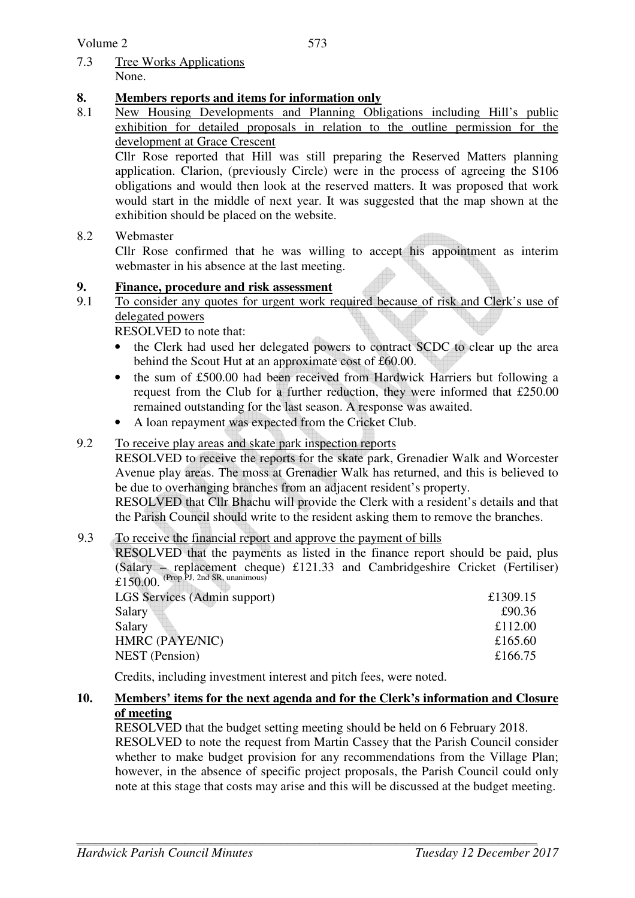7.3 Tree Works Applications None.

# **8. Members reports and items for information only**

8.1 New Housing Developments and Planning Obligations including Hill's public exhibition for detailed proposals in relation to the outline permission for the development at Grace Crescent

Cllr Rose reported that Hill was still preparing the Reserved Matters planning application. Clarion, (previously Circle) were in the process of agreeing the S106 obligations and would then look at the reserved matters. It was proposed that work would start in the middle of next year. It was suggested that the map shown at the exhibition should be placed on the website.

## 8.2 Webmaster

Cllr Rose confirmed that he was willing to accept his appointment as interim webmaster in his absence at the last meeting.

# **9.** Finance, procedure and risk assessment<br>9.1 To consider any quotes for urgent work re

To consider any quotes for urgent work required because of risk and Clerk's use of delegated powers

RESOLVED to note that:

- the Clerk had used her delegated powers to contract SCDC to clear up the area behind the Scout Hut at an approximate cost of £60.00.
- the sum of £500.00 had been received from Hardwick Harriers but following a request from the Club for a further reduction, they were informed that £250.00 remained outstanding for the last season. A response was awaited.
- A loan repayment was expected from the Cricket Club.

## 9.2 To receive play areas and skate park inspection reports

RESOLVED to receive the reports for the skate park, Grenadier Walk and Worcester Avenue play areas. The moss at Grenadier Walk has returned, and this is believed to be due to overhanging branches from an adjacent resident's property.

RESOLVED that Cllr Bhachu will provide the Clerk with a resident's details and that the Parish Council should write to the resident asking them to remove the branches.

# 9.3 To receive the financial report and approve the payment of bills

RESOLVED that the payments as listed in the finance report should be paid, plus (Salary – replacement cheque) £121.33 and Cambridgeshire Cricket (Fertiliser)  $£150.00$  (Prop PJ, 2nd SR, unanimous)

| LGS Services (Admin support) | £1309.15 |
|------------------------------|----------|
| Salary                       | £90.36   |
| Salary                       | £112.00  |
| HMRC (PAYE/NIC)              | £165.60  |
| <b>NEST</b> (Pension)        | £166.75  |
|                              |          |

Credits, including investment interest and pitch fees, were noted.

## **10. Members' items for the next agenda and for the Clerk's information and Closure of meeting**

RESOLVED that the budget setting meeting should be held on 6 February 2018. RESOLVED to note the request from Martin Cassey that the Parish Council consider whether to make budget provision for any recommendations from the Village Plan; however, in the absence of specific project proposals, the Parish Council could only note at this stage that costs may arise and this will be discussed at the budget meeting.